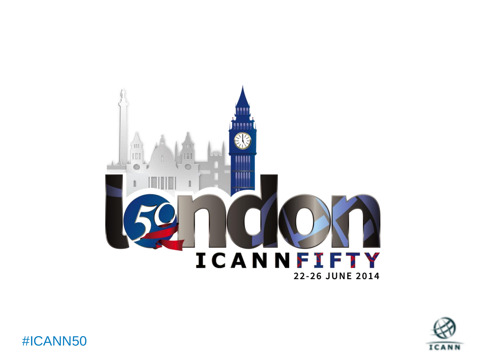



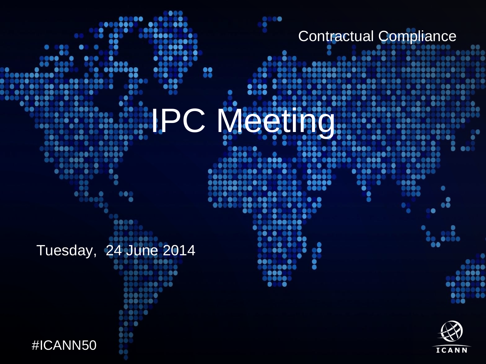Contractual Compliance

68

**BOO** 

....

 $\bullet\bullet$ 

**SS** 

۸

 $\bullet$ 

8888

....

⋒

.

۰  $\bullet$ .

66

 $\bullet$   $\bullet$ 

.:

. . .

.

 $00000$ 

Ŏ Б

●

●

...

**....** 

...

 $\bullet$ ā

61

۰ **IPC Meeting** 

.....

 $\bullet$ 

 $\bullet\quadbullet\bullet$ **OB60** 

 $\bullet$ 

- -

⋒

....

999

....

...

00000000

**\*\*\*\*\*** 

8888

Tuesday, 24 June 2014 $\circ$  .

88

88

...

80

.....

 $\bullet$ 

....

 $\bullet \bullet \bullet \bullet$ 

●

 $\bullet$ 

 $\bullet$ 

808 Ō

....

..........

......

 $\bullet\bullet\bullet\bullet\bullet\bullet$ 

 $\bullet$ O) **Signed** 

 $\bullet\circ\circ$ 00.

 $\bullet\bullet\bullet$ 

...

**assassa** 

....

68

 $\bullet$ 

. . .

. ...

-60 888

 $\bullet$ 

88



Text

66

āe.

,,,,

88

888

۸

 $000$ 

 ${\color{red}\textbf{0.0000}}$ 

..



 $\begin{array}{cccccccccccccc} \bullet & \circ & \circ & \bullet & \circ & \circ & \circ \end{array}$ 

 $\bullet\bullet\bullet\circ$ ۸

.........

0Ŏ

 $\bullet\bullet\bullet\bullet$ 

....

88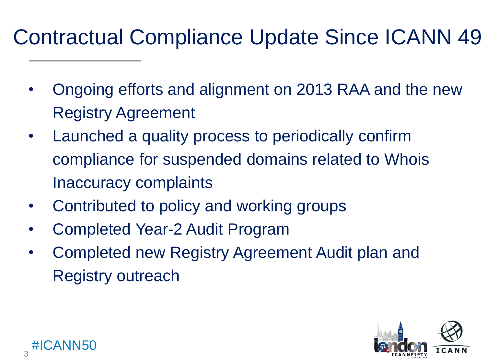## Contractual Compliance Update Since ICANN 49

- Ongoing efforts and alignment on 2013 RAA and the new Registry Agreement
- Launched a quality process to periodically confirm compliance for suspended domains related to Whois Inaccuracy complaints
- Contributed to policy and working groups
- Completed Year-2 Audit Program
- <span id="page-2-0"></span>• Completed new Registry Agreement Audit plan and Registry outreach

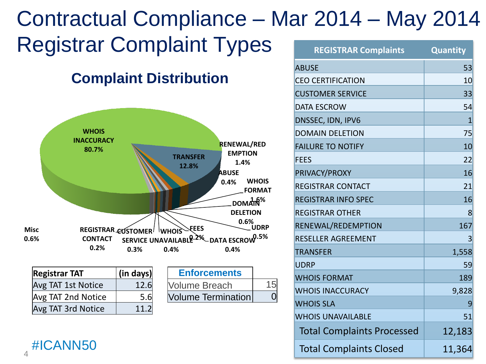#### Registrar Complaint Types **WHOIS INACCURACY 80.7% TRANSFER 12.8% WHOIS FORMAT 1.6% DOMAIN RENEWAL/RED EMPTION 1.4% DELETION 0.6% UDRP 0.5% DATA ESCROW 0.4% ABUSE 0.4% REGISTRAR CUSTOMER** NWHOIS **UNAVAILABLE SERVICE 0.2% 0.4% 0.3% FEES CONTACT 0.2% Misc 0.6% Complaint Distribution REGISTRAR Complaints Quantity** ABUSE 53 CEO CERTIFICATION 10 **CUSTOMER SERVICE** 23 DATA ESCROW 54 DNSSEC, IDN, IPV6 1 DOMAIN DELETION 75 **FAILURE TO NOTIFY 10** 20 FEES 22 PRIVACY/PROXY 16 REGISTRAR CONTACT **1999** 21 REGISTRAR INFO SPEC 16 16 REGISTRAR OTHER **8** RENEWAL/REDEMPTION 167 RESELLER AGREEMENT ASSESSED AT LOCAL STREET TRANSFER 1,558 UDRP 59 WHOIS FORMAT **189** WHOIS INACCURACY **19,828** WHOIS SLA 9 **Enforcements** Volume Breach 15 Volume Termination  $\vert$  0 **Registrar TAT (in days)** Avg TAT 1st Notice  $\vert$  12.6  $\vert$ Avg TAT 2nd Notice  $\vert$  5.6  $Avg$  TAT 3rd Notice  $\vert$  11.2 Contractual Compliance – Mar 2014 – May 2014

#ICANN50  $\Delta$ 

WHOIS UNAVAILABLE **1999 1999** Total Complaints Processed | 12,183 Total Complaints Closed 11,364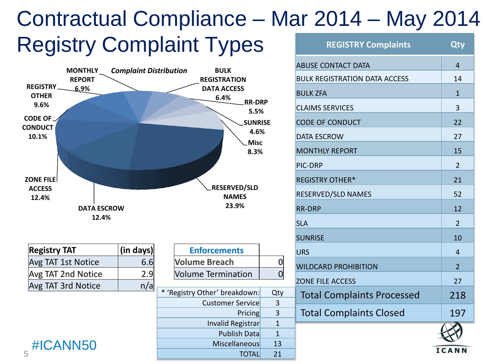#### **Registry Complaint Types** Contractual Compliance – Mar 2014 – May 2014 **REGISTRY Complaints Qty**



| <b>Registry TAT</b> | $\vert$ (in days) $\vert$ |
|---------------------|---------------------------|
| Avg TAT 1st Notice  | 6.6                       |
| Avg TAT 2nd Notice  | 2.9                       |
| Avg TAT 3rd Notice  | n/a                       |

|  | #ICANN50 |  |  |
|--|----------|--|--|
|  |          |  |  |

| <b>Registry TAT</b>       | (in days) | <b>Enforcements</b>           |     |
|---------------------------|-----------|-------------------------------|-----|
| <b>Avg TAT 1st Notice</b> | 6.6       | <b>Volume Breach</b>          |     |
| <b>Avg TAT 2nd Notice</b> | 2.9       | <b>Volume Termination</b>     |     |
| Avg TAT 3rd Notice        | n/a       |                               |     |
|                           |           | * 'Registry Other' breakdown: | Qty |
|                           |           | <b>Customer Service</b>       | 3   |
|                           |           | Pricing                       | 3   |
|                           |           | Invalid Registrar             |     |
|                           |           | <b>Publish Data</b>           |     |
| #ICANN50                  |           | <b>Miscellaneous</b>          | 13  |
| 5                         |           | TOTAI                         | 21  |

| <b>REGISTRY Complaints</b>           | <b>Qty</b>     |
|--------------------------------------|----------------|
| <b>ABUSE CONTACT DATA</b>            | $\overline{4}$ |
| <b>BULK REGISTRATION DATA ACCESS</b> | 14             |
| <b>BULK ZFA</b>                      | $\mathbf{1}$   |
| <b>CLAIMS SERVICES</b>               | 3              |
| <b>CODE OF CONDUCT</b>               | 22             |
| <b>DATA ESCROW</b>                   | 27             |
| <b>MONTHLY REPORT</b>                | 15             |
| PIC-DRP                              | $\overline{2}$ |
| <b>REGISTRY OTHER*</b>               | 21             |
| RESERVED/SLD NAMES                   | 52             |
| <b>RR-DRP</b>                        | 12             |
| <b>SLA</b>                           | $\overline{2}$ |
| <b>SUNRISE</b>                       | 10             |
| <b>URS</b>                           | 4              |
| <b>WILDCARD PROHIBITION</b>          | $\overline{2}$ |
| <b>ZONE FILE ACCESS</b>              | 27             |
| <b>Total Complaints Processed</b>    | 218            |
| <b>Total Complaints Closed</b>       | 197            |
|                                      |                |
|                                      | <b>ICANN</b>   |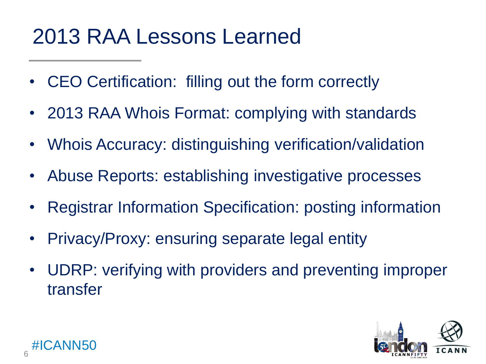## 2013 RAA Lessons Learned

- CEO Certification: filling out the form correctly
- 2013 RAA Whois Format: complying with standards
- Whois Accuracy: distinguishing verification/validation
- Abuse Reports: establishing investigative processes
- Registrar Information Specification: posting information
- Privacy/Proxy: ensuring separate legal entity
- UDRP: verifying with providers and preventing improper transfer

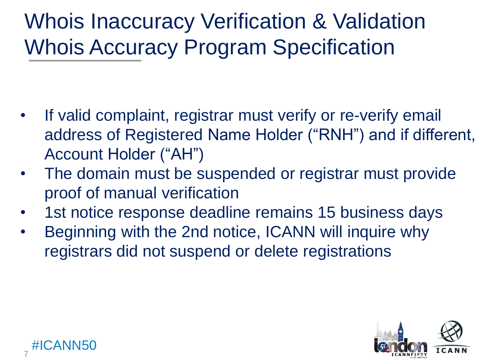## **Whois Accuracy Program Specification** Whois Inaccuracy Verification & Validation

- If valid complaint, registrar must verify or re-verify email address of Registered Name Holder ("RNH") and if different, Account Holder ("AH")
- The domain must be suspended or registrar must provide proof of manual verification
- 1st notice response deadline remains 15 business days
- Beginning with the 2nd notice, ICANN will inquire why registrars did not suspend or delete registrations



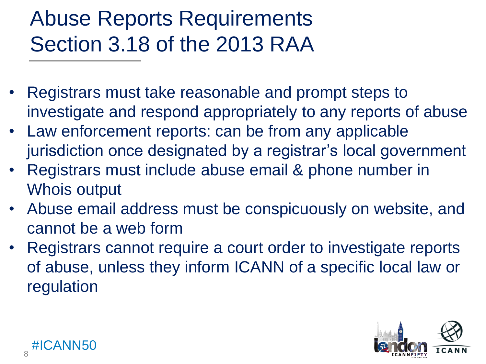## Section 3.18 of the 2013 RAA Abuse Reports Requirements

- Registrars must take reasonable and prompt steps to investigate and respond appropriately to any reports of abuse
- Law enforcement reports: can be from any applicable jurisdiction once designated by a registrar's local government
- Registrars must include abuse email & phone number in Whois output
- Abuse email address must be conspicuously on website, and cannot be a web form
- Registrars cannot require a court order to investigate reports of abuse, unless they inform ICANN of a specific local law or regulation

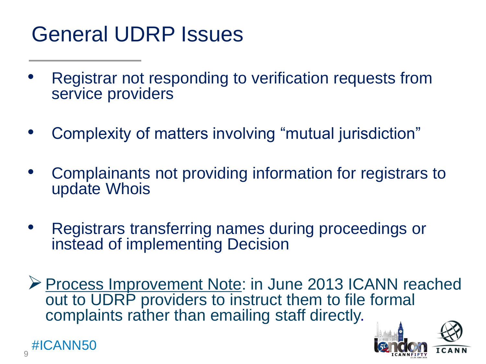## General UDRP Issues

- Registrar not responding to verification requests from service providers
- Complexity of matters involving "mutual jurisdiction"
- Complainants not providing information for registrars to update Whois
- Registrars transferring names during proceedings or instead of implementing Decision
- ▶ Process Improvement Note: in June 2013 ICANN reached out to UDRP providers to instruct them to file formal complaints rather than emailing staff directly.



9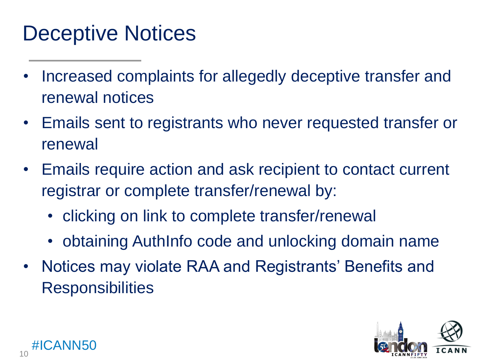#### **D** Deceptive Notices

- Increased complaints for allegedly deceptive transfer and renewal notices
- Emails sent to registrants who never requested transfer or renewal
- Emails require action and ask recipient to contact current registrar or complete transfer/renewal by:
	- clicking on link to complete transfer/renewal
	- obtaining AuthInfo code and unlocking domain name
- Notices may violate RAA and Registrants' Benefits and **Responsibilities**



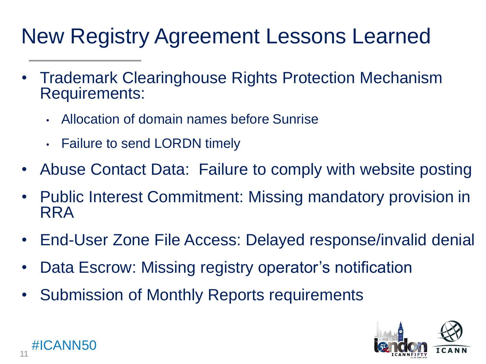## New Registry Agreement Lessons Learned

- Trademark Clearinghouse Rights Protection Mechanism Requirements:
	- Allocation of domain names before Sunrise
	- Failure to send LORDN timely
- Abuse Contact Data: Failure to comply with website posting
- Public Interest Commitment: Missing mandatory provision in RRA
- End-User Zone File Access: Delayed response/invalid denial
- Data Escrow: Missing registry operator's notification
- Submission of Monthly Reports requirements



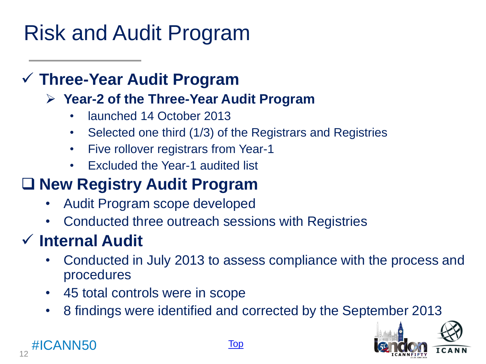#### Text Risk and Audit Program

#### **Three-Year Audit Program**

#### **Year-2 of the Three-Year Audit Program**

- launched 14 October 2013
- Selected one third (1/3) of the Registrars and Registries
- Five rollover registrars from Year-1
- Excluded the Year-1 audited list

#### **New Registry Audit Program**

- Audit Program scope developed
- Conducted three outreach sessions with Registries

### **Internal Audit**

- Conducted in July 2013 to assess compliance with the process and procedures
- 45 total controls were in scope
- 8 findings were identified and corrected by the September 2013



#ICANN50 12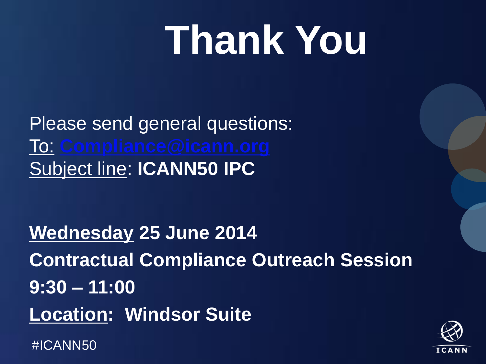# **Thank You**

Please send general questions: To: **[Compliance@icann.org](mailto:Compliance@icann.org)** Subject line: **ICANN50 IPC**

#ICANN50 **Wednesday 25 June 2014 Contractual Compliance Outreach Session 9:30 – 11:00 Location: Windsor Suite**

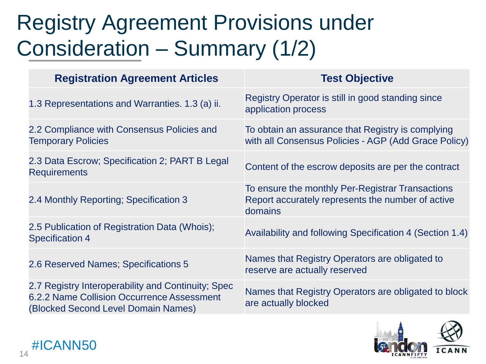## Consideration – Summary (1/2) Registry Agreement Provisions under

| <b>Registration Agreement Articles</b>                                                                                                  | <b>Test Objective</b>                                                                                            |
|-----------------------------------------------------------------------------------------------------------------------------------------|------------------------------------------------------------------------------------------------------------------|
| 1.3 Representations and Warranties. 1.3 (a) ii.                                                                                         | Registry Operator is still in good standing since<br>application process                                         |
| 2.2 Compliance with Consensus Policies and<br><b>Temporary Policies</b>                                                                 | To obtain an assurance that Registry is complying<br>with all Consensus Policies - AGP (Add Grace Policy)        |
| 2.3 Data Escrow; Specification 2; PART B Legal<br><b>Requirements</b>                                                                   | Content of the escrow deposits are per the contract                                                              |
| 2.4 Monthly Reporting; Specification 3                                                                                                  | To ensure the monthly Per-Registrar Transactions<br>Report accurately represents the number of active<br>domains |
| 2.5 Publication of Registration Data (Whois);<br><b>Specification 4</b>                                                                 | Availability and following Specification 4 (Section 1.4)                                                         |
| 2.6 Reserved Names; Specifications 5                                                                                                    | Names that Registry Operators are obligated to<br>reserve are actually reserved                                  |
| 2.7 Registry Interoperability and Continuity; Spec<br>6.2.2 Name Collision Occurrence Assessment<br>(Blocked Second Level Domain Names) | Names that Registry Operators are obligated to block<br>are actually blocked                                     |